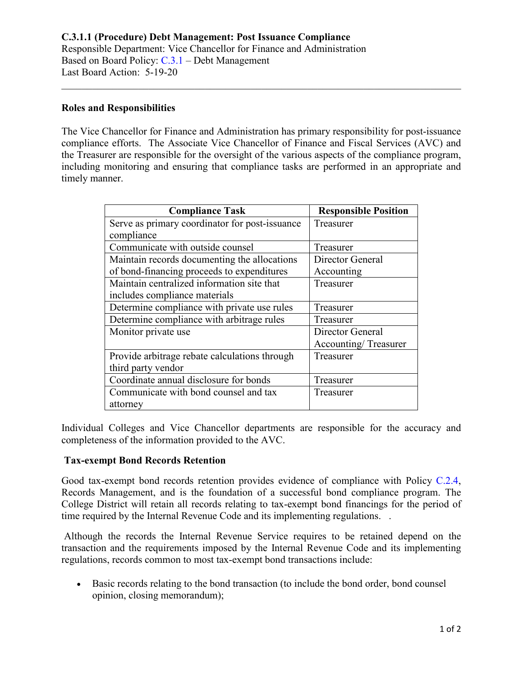## **Roles and Responsibilities**

The Vice Chancellor for Finance and Administration has primary responsibility for post-issuance compliance efforts. The Associate Vice Chancellor of Finance and Fiscal Services (AVC) and the Treasurer are responsible for the oversight of the various aspects of the compliance program, including monitoring and ensuring that compliance tasks are performed in an appropriate and timely manner.

\_\_\_\_\_\_\_\_\_\_\_\_\_\_\_\_\_\_\_\_\_\_\_\_\_\_\_\_\_\_\_\_\_\_\_\_\_\_\_\_\_\_\_\_\_\_\_\_\_\_\_\_\_\_\_\_\_\_\_\_\_\_\_\_\_\_\_\_\_\_\_\_\_\_\_\_\_\_

| <b>Compliance Task</b>                         | <b>Responsible Position</b> |
|------------------------------------------------|-----------------------------|
| Serve as primary coordinator for post-issuance | Treasurer                   |
| compliance                                     |                             |
| Communicate with outside counsel               | Treasurer                   |
| Maintain records documenting the allocations   | Director General            |
| of bond-financing proceeds to expenditures     | Accounting                  |
| Maintain centralized information site that     | Treasurer                   |
| includes compliance materials                  |                             |
| Determine compliance with private use rules    | Treasurer                   |
| Determine compliance with arbitrage rules      | Treasurer                   |
| Monitor private use                            | Director General            |
|                                                | Accounting/Treasurer        |
| Provide arbitrage rebate calculations through  | Treasurer                   |
| third party vendor                             |                             |
| Coordinate annual disclosure for bonds         | Treasurer                   |
| Communicate with bond counsel and tax          | Treasurer                   |
| attorney                                       |                             |

Individual Colleges and Vice Chancellor departments are responsible for the accuracy and completeness of the information provided to the AVC.

## **Tax-exempt Bond Records Retention**

Good tax-exempt bond records retention provides evidence of compliance with Policy [C.2.4,](https://www.alamo.edu/siteassets/district/about-us/leadership/board-of-trustees/policies-pdfs/section-c/c.2.4-policy.pdf) Records Management, and is the foundation of a successful bond compliance program. The College District will retain all records relating to tax-exempt bond financings for the period of time required by the Internal Revenue Code and its implementing regulations. .

Although the records the Internal Revenue Service requires to be retained depend on the transaction and the requirements imposed by the Internal Revenue Code and its implementing regulations, records common to most tax-exempt bond transactions include:

• Basic records relating to the bond transaction (to include the bond order, bond counsel opinion, closing memorandum);